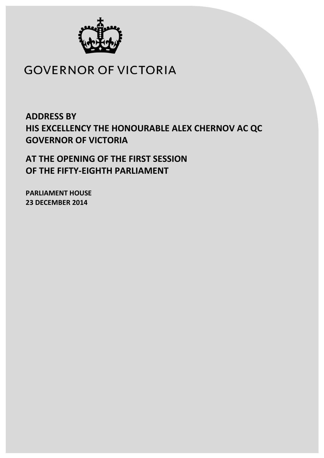

# **GOVERNOR OF VICTORIA**

**ADDRESS BY HIS EXCELLENCY THE HONOURABLE ALEX CHERNOV AC QC GOVERNOR OF VICTORIA**

**AT THE OPENING OF THE FIRST SESSION OF THE FIFTY-EIGHTH PARLIAMENT**

**PARLIAMENT HOUSE 23 DECEMBER 2014**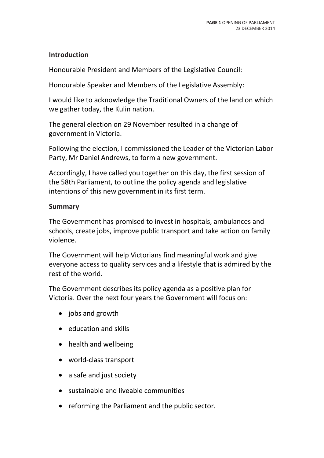#### **Introduction**

Honourable President and Members of the Legislative Council:

Honourable Speaker and Members of the Legislative Assembly:

I would like to acknowledge the Traditional Owners of the land on which we gather today, the Kulin nation.

The general election on 29 November resulted in a change of government in Victoria.

Following the election, I commissioned the Leader of the Victorian Labor Party, Mr Daniel Andrews, to form a new government.

Accordingly, I have called you together on this day, the first session of the 58th Parliament, to outline the policy agenda and legislative intentions of this new government in its first term.

#### **Summary**

The Government has promised to invest in hospitals, ambulances and schools, create jobs, improve public transport and take action on family violence.

The Government will help Victorians find meaningful work and give everyone access to quality services and a lifestyle that is admired by the rest of the world.

The Government describes its policy agenda as a positive plan for Victoria. Over the next four years the Government will focus on:

- jobs and growth
- education and skills
- health and wellbeing
- world-class transport
- a safe and just society
- sustainable and liveable communities
- reforming the Parliament and the public sector.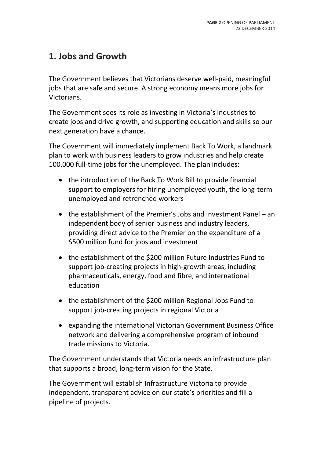## **1. Jobs and Growth**

The Government believes that Victorians deserve well-paid, meaningful jobs that are safe and secure. A strong economy means more jobs for Victorians.

The Government sees its role as investing in Victoria's industries to create jobs and drive growth, and supporting education and skills so our next generation have a chance.

The Government will immediately implement Back To Work, a landmark plan to work with business leaders to grow industries and help create 100,000 full-time jobs for the unemployed. The plan includes:

- the introduction of the Back To Work Bill to provide financial support to employers for hiring unemployed youth, the long-term unemployed and retrenched workers
- the establishment of the Premier's Jobs and Investment Panel an independent body of senior business and industry leaders, providing direct advice to the Premier on the expenditure of a \$500 million fund for jobs and investment
- the establishment of the \$200 million Future Industries Fund to support job-creating projects in high-growth areas, including pharmaceuticals, energy, food and fibre, and international education
- the establishment of the \$200 million Regional Jobs Fund to support job-creating projects in regional Victoria
- expanding the international Victorian Government Business Office network and delivering a comprehensive program of inbound trade missions to Victoria.

The Government understands that Victoria needs an infrastructure plan that supports a broad, long-term vision for the State.

The Government will establish Infrastructure Victoria to provide independent, transparent advice on our state's priorities and fill a pipeline of projects.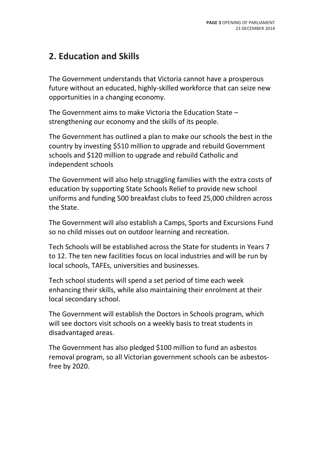### **2. Education and Skills**

The Government understands that Victoria cannot have a prosperous future without an educated, highly-skilled workforce that can seize new opportunities in a changing economy.

The Government aims to make Victoria the Education State – strengthening our economy and the skills of its people.

The Government has outlined a plan to make our schools the best in the country by investing \$510 million to upgrade and rebuild Government schools and \$120 million to upgrade and rebuild Catholic and independent schools

The Government will also help struggling families with the extra costs of education by supporting State Schools Relief to provide new school uniforms and funding 500 breakfast clubs to feed 25,000 children across the State.

The Government will also establish a Camps, Sports and Excursions Fund so no child misses out on outdoor learning and recreation.

Tech Schools will be established across the State for students in Years 7 to 12. The ten new facilities focus on local industries and will be run by local schools, TAFEs, universities and businesses.

Tech school students will spend a set period of time each week enhancing their skills, while also maintaining their enrolment at their local secondary school.

The Government will establish the Doctors in Schools program, which will see doctors visit schools on a weekly basis to treat students in disadvantaged areas.

The Government has also pledged \$100 million to fund an asbestos removal program, so all Victorian government schools can be asbestosfree by 2020.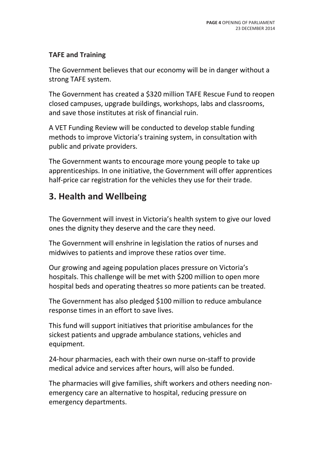### **TAFE and Training**

The Government believes that our economy will be in danger without a strong TAFE system.

The Government has created a \$320 million TAFE Rescue Fund to reopen closed campuses, upgrade buildings, workshops, labs and classrooms, and save those institutes at risk of financial ruin.

A VET Funding Review will be conducted to develop stable funding methods to improve Victoria's training system, in consultation with public and private providers.

The Government wants to encourage more young people to take up apprenticeships. In one initiative, the Government will offer apprentices half-price car registration for the vehicles they use for their trade.

### **3. Health and Wellbeing**

The Government will invest in Victoria's health system to give our loved ones the dignity they deserve and the care they need.

The Government will enshrine in legislation the ratios of nurses and midwives to patients and improve these ratios over time.

Our growing and ageing population places pressure on Victoria's hospitals. This challenge will be met with \$200 million to open more hospital beds and operating theatres so more patients can be treated.

The Government has also pledged \$100 million to reduce ambulance response times in an effort to save lives.

This fund will support initiatives that prioritise ambulances for the sickest patients and upgrade ambulance stations, vehicles and equipment.

24-hour pharmacies, each with their own nurse on-staff to provide medical advice and services after hours, will also be funded.

The pharmacies will give families, shift workers and others needing nonemergency care an alternative to hospital, reducing pressure on emergency departments.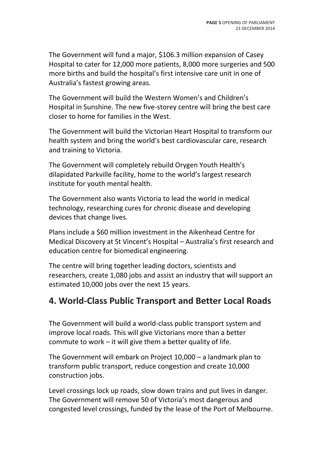The Government will fund a major, \$106.3 million expansion of Casey Hospital to cater for 12,000 more patients, 8,000 more surgeries and 500 more births and build the hospital's first intensive care unit in one of Australia's fastest growing areas.

The Government will build the Western Women's and Children's Hospital in Sunshine. The new five-storey centre will bring the best care closer to home for families in the West.

The Government will build the Victorian Heart Hospital to transform our health system and bring the world's best cardiovascular care, research and training to Victoria.

The Government will completely rebuild Orygen Youth Health's dilapidated Parkville facility, home to the world's largest research institute for youth mental health.

The Government also wants Victoria to lead the world in medical technology, researching cures for chronic disease and developing devices that change lives.

Plans include a \$60 million investment in the Aikenhead Centre for Medical Discovery at St Vincent's Hospital – Australia's first research and education centre for biomedical engineering.

The centre will bring together leading doctors, scientists and researchers, create 1,080 jobs and assist an industry that will support an estimated 10,000 jobs over the next 15 years.

### **4. World-Class Public Transport and Better Local Roads**

The Government will build a world-class public transport system and improve local roads. This will give Victorians more than a better commute to work – it will give them a better quality of life.

The Government will embark on Project 10,000 – a landmark plan to transform public transport, reduce congestion and create 10,000 construction jobs.

Level crossings lock up roads, slow down trains and put lives in danger. The Government will remove 50 of Victoria's most dangerous and congested level crossings, funded by the lease of the Port of Melbourne.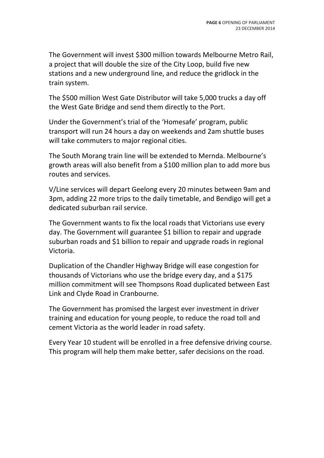The Government will invest \$300 million towards Melbourne Metro Rail, a project that will double the size of the City Loop, build five new stations and a new underground line, and reduce the gridlock in the train system.

The \$500 million West Gate Distributor will take 5,000 trucks a day off the West Gate Bridge and send them directly to the Port.

Under the Government's trial of the 'Homesafe' program, public transport will run 24 hours a day on weekends and 2am shuttle buses will take commuters to major regional cities.

The South Morang train line will be extended to Mernda. Melbourne's growth areas will also benefit from a \$100 million plan to add more bus routes and services.

V/Line services will depart Geelong every 20 minutes between 9am and 3pm, adding 22 more trips to the daily timetable, and Bendigo will get a dedicated suburban rail service.

The Government wants to fix the local roads that Victorians use every day. The Government will guarantee \$1 billion to repair and upgrade suburban roads and \$1 billion to repair and upgrade roads in regional Victoria.

Duplication of the Chandler Highway Bridge will ease congestion for thousands of Victorians who use the bridge every day, and a \$175 million commitment will see Thompsons Road duplicated between East Link and Clyde Road in Cranbourne.

The Government has promised the largest ever investment in driver training and education for young people, to reduce the road toll and cement Victoria as the world leader in road safety.

Every Year 10 student will be enrolled in a free defensive driving course. This program will help them make better, safer decisions on the road.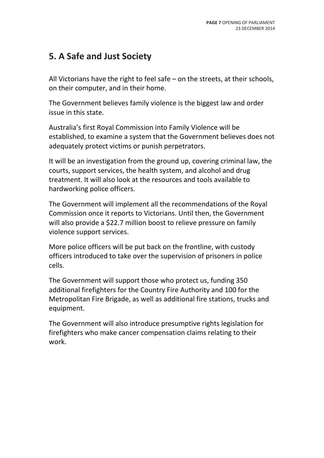## **5. A Safe and Just Society**

All Victorians have the right to feel safe – on the streets, at their schools, on their computer, and in their home.

The Government believes family violence is the biggest law and order issue in this state.

Australia's first Royal Commission into Family Violence will be established, to examine a system that the Government believes does not adequately protect victims or punish perpetrators.

It will be an investigation from the ground up, covering criminal law, the courts, support services, the health system, and alcohol and drug treatment. It will also look at the resources and tools available to hardworking police officers.

The Government will implement all the recommendations of the Royal Commission once it reports to Victorians. Until then, the Government will also provide a \$22.7 million boost to relieve pressure on family violence support services.

More police officers will be put back on the frontline, with custody officers introduced to take over the supervision of prisoners in police cells.

The Government will support those who protect us, funding 350 additional firefighters for the Country Fire Authority and 100 for the Metropolitan Fire Brigade, as well as additional fire stations, trucks and equipment.

The Government will also introduce presumptive rights legislation for firefighters who make cancer compensation claims relating to their work.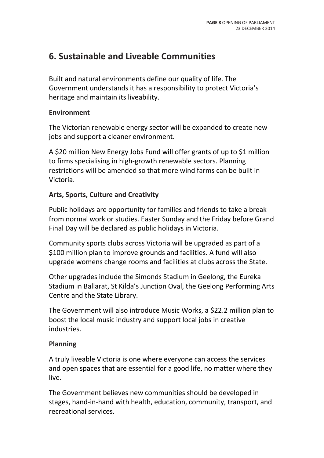### **6. Sustainable and Liveable Communities**

Built and natural environments define our quality of life. The Government understands it has a responsibility to protect Victoria's heritage and maintain its liveability.

#### **Environment**

The Victorian renewable energy sector will be expanded to create new jobs and support a cleaner environment.

A \$20 million New Energy Jobs Fund will offer grants of up to \$1 million to firms specialising in high-growth renewable sectors. Planning restrictions will be amended so that more wind farms can be built in Victoria.

#### **Arts, Sports, Culture and Creativity**

Public holidays are opportunity for families and friends to take a break from normal work or studies. Easter Sunday and the Friday before Grand Final Day will be declared as public holidays in Victoria.

Community sports clubs across Victoria will be upgraded as part of a \$100 million plan to improve grounds and facilities. A fund will also upgrade womens change rooms and facilities at clubs across the State.

Other upgrades include the Simonds Stadium in Geelong, the Eureka Stadium in Ballarat, St Kilda's Junction Oval, the Geelong Performing Arts Centre and the State Library.

The Government will also introduce Music Works, a \$22.2 million plan to boost the local music industry and support local jobs in creative industries.

#### **Planning**

A truly liveable Victoria is one where everyone can access the services and open spaces that are essential for a good life, no matter where they live.

The Government believes new communities should be developed in stages, hand-in-hand with health, education, community, transport, and recreational services.